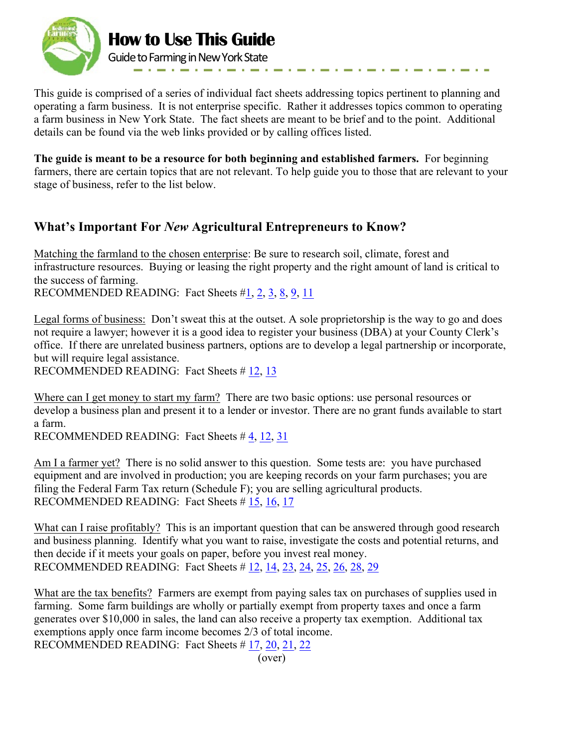

This guide is comprised of a series of individual fact sheets addressing topics pertinent to planning and operating a farm business. It is not enterprise specific. Rather it addresses topics common to operating a farm business in New York State. The fact sheets are meant to be brief and to the point. Additional details can be found via the web links provided or by calling offices listed.

**The guide is meant to be a resource for both beginning and established farmers.** For beginning farmers, there are certain topics that are not relevant. To help guide you to those that are relevant to your stage of business, refer to the list below.

## **What's Important For** *New* **Agricultural Entrepreneurs to Know?**

Matching the farmland to the chosen enterprise: Be sure to research soil, climate, forest and infrastructure resources. Buying or leasing the right property and the right amount of land is critical to the success of farming.

RECOMMENDED READING: Fact Sheets  $\sharp$  1, 2, 3, 8, 9, 11

Legal forms of business: Don't sweat this at the outset. A sole proprietorship is the way to go and does not require a lawyer; however it is a good idea to register your business (DBA) at your County Clerk's office. If there are unrelated business partners, options are to develop a legal partnership or incorporate, but will require legal assistance.

RECOMMENDED READING: Fact Sheets # 12, 13

Where can I get money to start my farm? There are two basic options: use personal resources or develop a business plan and present it to a lender or investor. There are no grant funds available to start a farm.

RECOMMENDED READING: Fact Sheets # 4, 12, 31

Am I a farmer yet? There is no solid answer to this question. Some tests are: you have purchased equipment and are involved in production; you are keeping records on your farm purchases; you are filing the Federal Farm Tax return (Schedule F); you are selling agricultural products. RECOMMENDED READING: Fact Sheets # 15, 16, 17

What can I raise profitably? This is an important question that can be answered through good research and business planning. Identify what you want to raise, investigate the costs and potential returns, and then decide if it meets your goals on paper, before you invest real money. RECOMMENDED READING: Fact Sheets # 12, 14, 23, 24, 25, 26, 28, 29

What are the tax benefits? Farmers are exempt from paying sales tax on purchases of supplies used in farming. Some farm buildings are wholly or partially exempt from property taxes and once a farm generates over \$10,000 in sales, the land can also receive a property tax exemption. Additional tax exemptions apply once farm income becomes 2/3 of total income.

RECOMMENDED READING: Fact Sheets # 17, 20, 21, 22

(over)